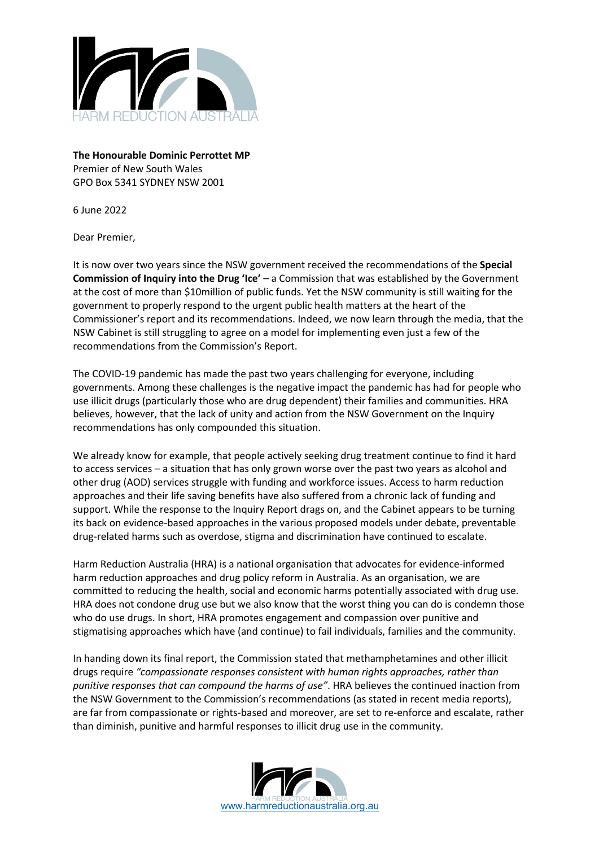

**The Honourable Dominic Perrottet MP**  Premier of New South Wales GPO Box 5341 SYDNEY NSW 2001

6 June 2022

Dear Premier,

It is now over two years since the NSW government received the recommendations of the **Special Commission of Inquiry into the Drug 'Ice'** – a Commission that was established by the Government at the cost of more than \$10million of public funds. Yet the NSW community is still waiting for the government to properly respond to the urgent public health matters at the heart of the Commissioner's report and its recommendations. Indeed, we now learn through the media, that the NSW Cabinet is still struggling to agree on a model for implementing even just a few of the recommendations from the Commission's Report.

The COVID-19 pandemic has made the past two years challenging for everyone, including governments. Among these challenges is the negative impact the pandemic has had for people who use illicit drugs (particularly those who are drug dependent) their families and communities. HRA believes, however, that the lack of unity and action from the NSW Government on the Inquiry recommendations has only compounded this situation.

We already know for example, that people actively seeking drug treatment continue to find it hard to access services – a situation that has only grown worse over the past two years as alcohol and other drug (AOD) services struggle with funding and workforce issues. Access to harm reduction approaches and their life saving benefits have also suffered from a chronic lack of funding and support. While the response to the Inquiry Report drags on, and the Cabinet appears to be turning its back on evidence-based approaches in the various proposed models under debate, preventable drug-related harms such as overdose, stigma and discrimination have continued to escalate.

Harm Reduction Australia (HRA) is a national organisation that advocates for evidence-informed harm reduction approaches and drug policy reform in Australia. As an organisation, we are committed to reducing the health, social and economic harms potentially associated with drug use. HRA does not condone drug use but we also know that the worst thing you can do is condemn those who do use drugs. In short, HRA promotes engagement and compassion over punitive and stigmatising approaches which have (and continue) to fail individuals, families and the community.

In handing down its final report, the Commission stated that methamphetamines and other illicit drugs require *"compassionate responses consistent with human rights approaches, rather than punitive responses that can compound the harms of use"*. HRA believes the continued inaction from the NSW Government to the Commission's recommendations (as stated in recent media reports), are far from compassionate or rights-based and moreover, are set to re-enforce and escalate, rather than diminish, punitive and harmful responses to illicit drug use in the community.